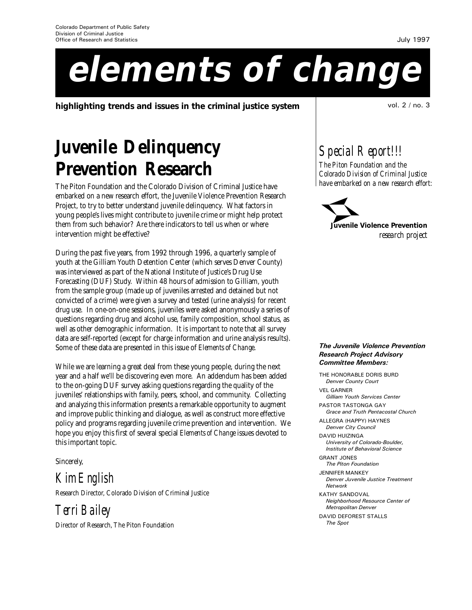# **elements of change**

**highlighting trends and issues in the criminal justice system** and the state of the state of the state of the sta

## **Juvenile Delinquency Prevention Research**

The Piton Foundation and the Colorado Division of Criminal Justice have embarked on a new research effort, the Juvenile Violence Prevention Research Project, to try to better understand juvenile delinquency. What factors in young people's lives might contribute to juvenile crime or might help protect them from such behavior? Are there indicators to tell us when or where intervention might be effective?

During the past five years, from 1992 through 1996, a quarterly sample of youth at the Gilliam Youth Detention Center (which serves Denver County) was interviewed as part of the National Institute of Justice's Drug Use Forecasting (DUF) Study. Within 48 hours of admission to Gilliam, youth from the sample group (made up of juveniles arrested and detained but not convicted of a crime) were given a survey and tested (urine analysis) for recent drug use. In one-on-one sessions, juveniles were asked anonymously a series of questions regarding drug and alcohol use, family composition, school status, as well as other demographic information. It is important to note that all survey data are self-reported (except for charge information and urine analysis results). Some of these data are presented in this issue of *Elements of Change*.

While we are learning a great deal from these young people, during the next year and a half we'll be discovering even more. An addendum has been added to the on-going DUF survey asking questions regarding the quality of the juveniles' relationships with family, peers, school, and community. Collecting and analyzing this information presents a remarkable opportunity to augment and improve public thinking and dialogue, as well as construct more effective policy and programs regarding juvenile crime prevention and intervention. We hope you enjoy this first of several special *Elements of Change* issues devoted to this important topic.

Sincerely,

*Kim English*

Research Director, Colorado Division of Criminal Justice

*Terri Bailey*

Director of Research, The Piton Foundation

*Special Report!!!*

*The Piton Foundation and the Colorado Division of Criminal Justice have embarked on a new research effort:*



**Juvenile Violence Prevention** *research project*

### The Juvenile Violence Prevention Research Project Advisory Committee Members:

THE HONORABLE DORIS BURD Denver County Court VEL GARNER Gilliam Youth Services Center PASTOR TASTONGA GAY Grace and Truth Pentacostal Church ALLEGRA (HAPPY) HAYNES Denver City Council DAVID HUIZINGA University of Colorado-Boulder, Institute of Behavioral Science GRANT JONES The Piton Foundation JENNIFER MANKEY Denver Juvenile Justice Treatment Network KATHY SANDOVAL Neighborhood Resource Center of Metropolitan Denver DAVID DEFOREST STALLS The Spot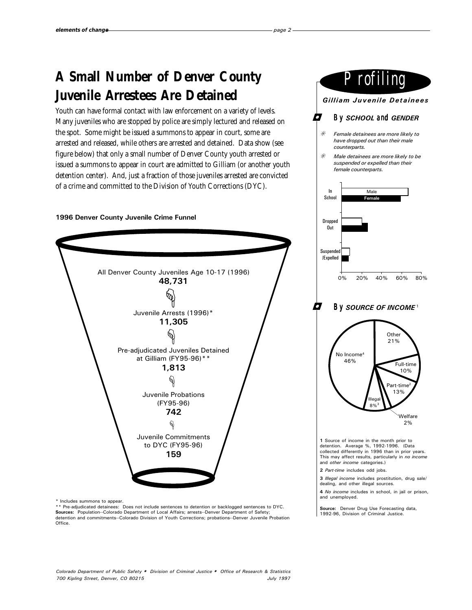### **A Small Number of Denver County Juvenile Arrestees Are Detained**

Youth can have formal contact with law enforcement on a variety of levels. Many juveniles who are stopped by police are simply lectured and released on the spot. Some might be issued a summons to appear in court, some are arrested and released, while others are arrested and detained. Data show (see figure below) that only a small number of Denver County youth arrested or issued a summons to appear in court are admitted to Gilliam (or another youth detention center). And, just a fraction of those juveniles arrested are convicted of a crime and committed to the Division of Youth Corrections (DYC).

### 1996 Denver County Juvenile Crime Funnel



\* Includes summons to appear.

\*\* Pre-adjudicated detainees: Does not include sentences to detention or backlogged sentences to DYC. **Sources:** Population--Colorado Department of Local Affairs; arrests--Denver Department of Safety;<br>detention and commitments--Colorado Division of Youth Corrections; probations--Denver Juvenile Probation Office.



Source: Denver Drug Use Forecasting data, 1992-96, Division of Criminal Justice.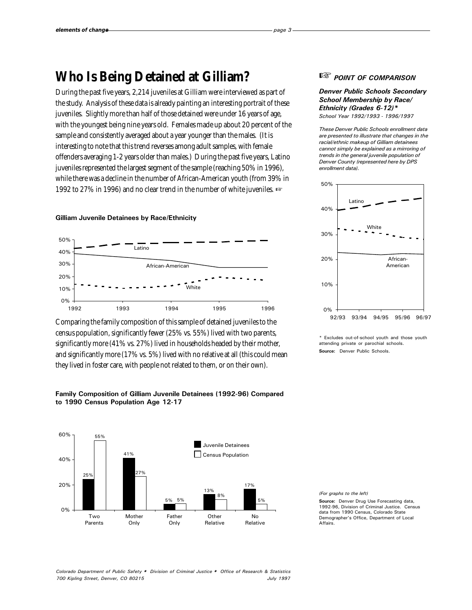### **Who Is Being Detained at Gilliam?**

During the past five years, 2,214 juveniles at Gilliam were interviewed as part of the study. Analysis of these data is already painting an interesting portrait of these juveniles. Slightly more than half of those detained were under 16 years of age, with the youngest being nine years old. Females made up about 20 percent of the sample and consistently averaged about a year younger than the males. (It is interesting to note that this trend reverses among adult samples, with female offenders averaging 1-2 years older than males.) During the past five years, Latino juveniles represented the largest segment of the sample (reaching 50% in 1996), while there was a decline in the number of African-American youth (from 39% in 1992 to 27% in 1996) and no clear trend in the number of white juveniles.  $\mathbb{R}$ 

#### Gilliam Juvenile Detainees by Race/Ethnicity



Comparing the family composition of this sample of detained juveniles to the census population, significantly fewer (25% vs. 55%) lived with two parents, significantly more (41% vs. 27%) lived in households headed by their mother, and significantly more (17% vs. 5%) lived with no relative at all (this could mean they lived in foster care, with people not related to them, or on their own).

### Family Composition of Gilliam Juvenile Detainees (1992-96) Compared to 1990 Census Population Age 12-17



### L<sup>ES</sup> POINT OF COMPARISON

### Denver Public Schools Secondary School Membership by Race/ Ethnicity (Grades 6-12)\*

School Year 1992/1993 - 1996/1997

These Denver Public Schools enrollment data are presented to illustrate that changes in the racial/ethnic makeup of Gilliam detainees cannot simply be explained as a mirroring of trends in the general juvenile population of Denver County (represented here by DPS enrollment data).



Excludes out-of-school youth and those youth attending private or parochial schools. Source: Denver Public Schools.

(For graphs to the left) Source: Denver Drug Use Forecasting data, 1992-96, Division of Criminal Justice. Census data from 1990 Census, Colorado State Demographer's Office, Department of Local Affairs.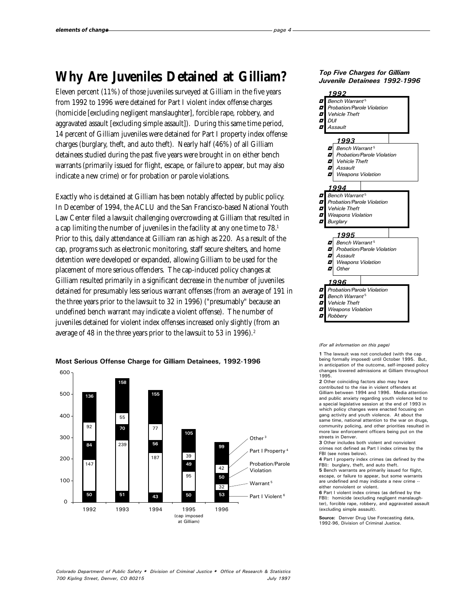### **Why Are Juveniles Detained at Gilliam?**

Eleven percent (11%) of those juveniles surveyed at Gilliam in the five years from 1992 to 1996 were detained for Part I violent index offense charges (homicide [excluding negligent manslaughter], forcible rape, robbery, and aggravated assault [excluding simple assault]). During this same time period, 14 percent of Gilliam juveniles were detained for Part I property index offense charges (burglary, theft, and auto theft). Nearly half (46%) of all Gilliam detainees studied during the past five years were brought in on either bench warrants (primarily issued for flight, escape, or failure to appear, but may also indicate a new crime) or for probation or parole violations.

Exactly who is detained at Gilliam has been notably affected by public policy. In December of 1994, the ACLU and the San Francisco-based National Youth Law Center filed a lawsuit challenging overcrowding at Gilliam that resulted in a cap limiting the number of juveniles in the facility at any one time to 78.<sup>1</sup> Prior to this, daily attendance at Gilliam ran as high as 220. As a result of the cap, programs such as electronic monitoring, staff secure shelters, and home detention were developed or expanded, allowing Gilliam to be used for the placement of more serious offenders. The cap-induced policy changes at Gilliam resulted primarily in a significant decrease in the number of juveniles detained for presumably less serious warrant offenses (from an average of 191 in the three years prior to the lawsuit to 32 in 1996) ("presumably" because an undefined bench warrant *may* indicate a violent offense). The number of juveniles detained for violent index offenses increased only slightly (from an average of 48 in the three years prior to the lawsuit to 53 in 1996).<sup>2</sup>



### Most Serious Offense Charge for Gilliam Detainees, 1992-1996

### Top Five Charges for Gilliam Juvenile Detainees 1992-1996



#### (For all information on this page)

1 The lawsuit was not concluded (with the cap being formally imposed) until October 1995. But, in anticipation of the outcome, self-imposed policy changes lowered admissions at Gilliam throughout 1995.

2 Other coinciding factors also may have contributed to the rise in violent offenders at Gilliam between 1994 and 1996. Media attention and public anxiety regarding youth violence led to a special legislative session at the end of 1993 in which policy changes were enacted focusing on gang activity and youth violence. At about the same time, national attention to the war on drugs community policing, and other priorities resulted in more law enforcement officers being put on the streets in Denver.

3 Other includes both violent and nonviolent crimes not defined as Part I index crimes by the FBI (see notes below).

4 Part I property index crimes (as defined by the FBI): burglary, theft, and auto theft. 5 Bench warrants are primarily issued for flight,

escape, or failure to appear, but some warrants are undefined and may indicate a new crime - either nonviolent or violent.

6 Part I violent index crimes (as defined by the FBI): homicide (excluding negligent manslaughter), forcible rape, robbery, and aggravated assault (excluding simple assault).

Source: Denver Drug Use Forecasting data, 1992-96, Division of Criminal Justice.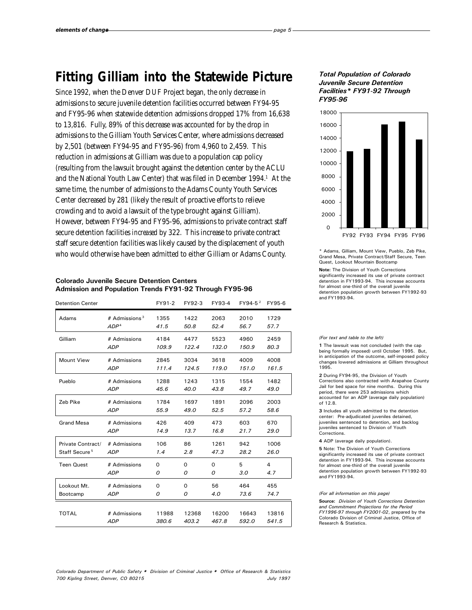### **Fitting Gilliam into the Statewide Picture**

Since 1992, when the Denver DUF Project began, the only decrease in admissions to secure juvenile detention facilities occurred between FY94-95 and FY95-96 when statewide detention admissions dropped 17% from 16,638 to 13,816. Fully, 89% of this decrease was accounted for by the drop in admissions to the Gilliam Youth Services Center, where admissions decreased by 2,501 (between FY94-95 and FY95-96) from 4,960 to 2,459. This reduction in admissions at Gilliam was due to a population cap policy (resulting from the lawsuit brought against the detention center by the ACLU and the National Youth Law Center) that was filed in December 1994.<sup>1</sup> At the same time, the number of admissions to the Adams County Youth Services Center decreased by 281 (likely the result of proactive efforts to relieve crowding and to avoid a lawsuit of the type brought against Gilliam). However, between FY94-95 and FY95-96, admissions to private contract staff secure detention facilities *increased* by 322. This increase to private contract staff secure detention facilities was likely caused by the displacement of youth who would otherwise have been admitted to either Gilliam or Adams County.

#### Colorado Juvenile Secure Detention Centers Admission and Population Trends FY91-92 Through FY95-96

| <b>Detention Center</b>   |                  | FY91-2   | FY92-3 | FY93-4   | FY94-5 <sup>2</sup> | FY95-6         |
|---------------------------|------------------|----------|--------|----------|---------------------|----------------|
| Adams                     | # Admissions $3$ | 1355     | 1422   | 2063     | 2010                | 1729           |
|                           | ADP <sup>4</sup> | 41.5     | 50.8   | 52.4     | 56.7                | 57.7           |
| Gilliam                   | # Admissions     | 4184     | 4477   | 5523     | 4960                | 2459           |
|                           | <b>ADP</b>       | 109.9    | 122.4  | 132.0    | 150.9               | 80.3           |
| <b>Mount View</b>         | # Admissions     | 2845     | 3034   | 3618     | 4009                | 4008           |
|                           | <b>ADP</b>       | 111.4    | 124.5  | 119.0    | 151.0               | 161.5          |
| Pueblo                    | # Admissions     | 1288     | 1243   | 1315     | 1554                | 1482           |
|                           | <b>ADP</b>       | 45.6     | 40.0   | 43.8     | 49.7                | 49.0           |
| Zeb Pike                  | # Admissions     | 1784     | 1697   | 1891     | 2096                | 2003           |
|                           | <b>ADP</b>       | 55.9     | 49.0   | 52.5     | 57.2                | 58.6           |
| <b>Grand Mesa</b>         | # Admissions     | 426      | 409    | 473      | 603                 | 670            |
|                           | <b>ADP</b>       | 14.9     | 13.7   | 16.8     | 21.7                | 29.0           |
| Private Contract/         | # Admissions     | 106      | 86     | 1261     | 942                 | 1006           |
| Staff Secure <sup>5</sup> | <b>ADP</b>       | 1.4      | 2.8    | 47.3     | 28.2                | 26.0           |
| <b>Teen Quest</b>         | # Admissions     | $\Omega$ | 0      | $\Omega$ | 5                   | $\overline{4}$ |
|                           | <b>ADP</b>       | 0        | 0      | 0        | 3.0                 | 4.7            |
| Lookout Mt.               | # Admissions     | 0        | 0      | 56       | 464                 | 455            |
| Bootcamp                  | <i>ADP</i>       | 0        | 0      | 4.0      | 73.6                | 74.7           |
| <b>TOTAL</b>              | # Admissions     | 11988    | 12368  | 16200    | 16643               | 13816          |
|                           | <b>ADP</b>       | 380.6    | 403.2  | 467.8    | 592.0               | 541.5          |

### Total Population of Colorado Juvenile Secure Detention Facilities\* FY91-92 Through FY95-96



\* Adams, Gilliam, Mount View, Pueblo, Zeb Pike, Grand Mesa, Private Contract/Staff Secure, Teen Quest, Lookout Mountain Bootcamp

Note: The Division of Youth Corrections significantly increased its use of private contract detention in FY1993-94. This increase accounts for almost one-third of the overall juvenile detention population growth between FY1992-93 and FY1993-94.

#### (For text and table to the left)

1 The lawsuit was not concluded (with the cap being formally imposed) until October 1995. But, in anticipation of the outcome, self-imposed policy changes lowered admissions at Gilliam throughout 1995.

2 During FY94-95, the Division of Youth Corrections also contracted with Arapahoe County Jail for bed space for nine months. During this period, there were 253 admissions which accounted for an ADP (average daily population) of 12.8.

3 Includes all youth admitted to the detention center: Pre-adjudicated juveniles detained, juveniles sentenced to detention, and backlog juveniles sentenced to Division of Youth Corrections.

4 ADP (average daily population).

5 Note: The Division of Youth Corrections significantly increased its use of private contract detention in FY1993-94. This increase accounts for almost one-third of the overall juvenile detention population growth between FY1992-93 and FY1993-94.

#### (For all information on this page)

Source: Division of Youth Corrections Detention and Commitment Projections for the Period FY1996-97 through FY2001-02, prepared by the Colorado Division of Criminal Justice, Office of Research & Statistics.